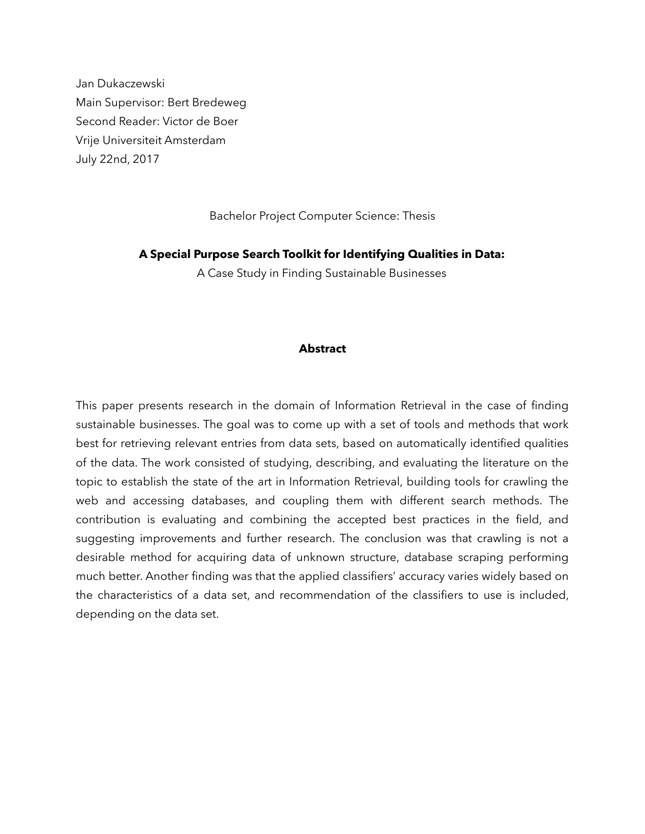Jan Dukaczewski Main Supervisor: Bert Bredeweg Second Reader: Victor de Boer Vrije Universiteit Amsterdam July 22nd, 2017

Bachelor Project Computer Science: Thesis

**A Special Purpose Search Toolkit for Identifying Qualities in Data:** 

A Case Study in Finding Sustainable Businesses

#### **Abstract**

This paper presents research in the domain of Information Retrieval in the case of finding sustainable businesses. The goal was to come up with a set of tools and methods that work best for retrieving relevant entries from data sets, based on automatically identified qualities of the data. The work consisted of studying, describing, and evaluating the literature on the topic to establish the state of the art in Information Retrieval, building tools for crawling the web and accessing databases, and coupling them with different search methods. The contribution is evaluating and combining the accepted best practices in the field, and suggesting improvements and further research. The conclusion was that crawling is not a desirable method for acquiring data of unknown structure, database scraping performing much better. Another finding was that the applied classifiers' accuracy varies widely based on the characteristics of a data set, and recommendation of the classifiers to use is included, depending on the data set.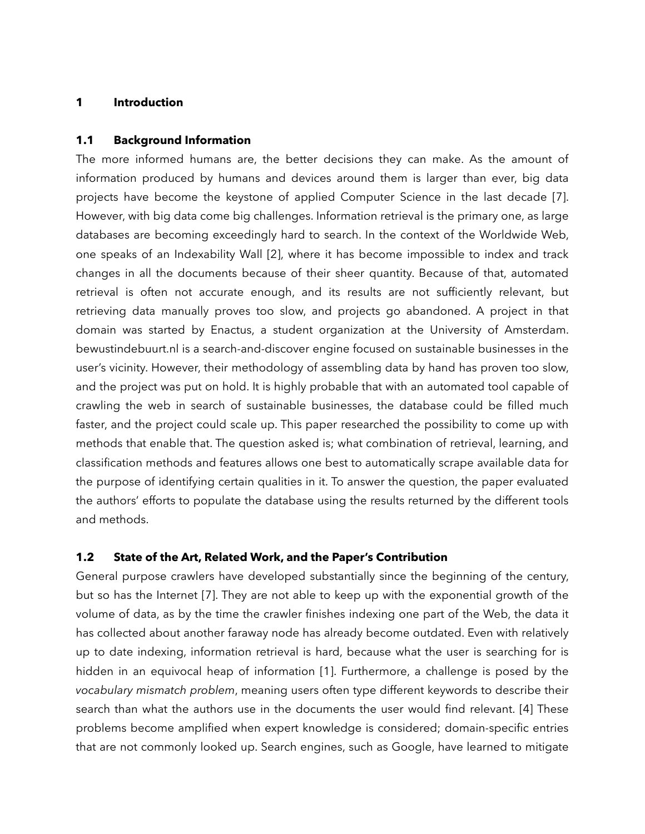### **1 Introduction**

#### **1.1 Background Information**

The more informed humans are, the better decisions they can make. As the amount of information produced by humans and devices around them is larger than ever, big data projects have become the keystone of applied Computer Science in the last decade [7]. However, with big data come big challenges. Information retrieval is the primary one, as large databases are becoming exceedingly hard to search. In the context of the Worldwide Web, one speaks of an Indexability Wall [2], where it has become impossible to index and track changes in all the documents because of their sheer quantity. Because of that, automated retrieval is often not accurate enough, and its results are not sufficiently relevant, but retrieving data manually proves too slow, and projects go abandoned. A project in that domain was started by Enactus, a student organization at the University of Amsterdam. bewustindebuurt.nl is a search-and-discover engine focused on sustainable businesses in the user's vicinity. However, their methodology of assembling data by hand has proven too slow, and the project was put on hold. It is highly probable that with an automated tool capable of crawling the web in search of sustainable businesses, the database could be filled much faster, and the project could scale up. This paper researched the possibility to come up with methods that enable that. The question asked is; what combination of retrieval, learning, and classification methods and features allows one best to automatically scrape available data for the purpose of identifying certain qualities in it. To answer the question, the paper evaluated the authors' efforts to populate the database using the results returned by the different tools and methods.

## **1.2 State of the Art, Related Work, and the Paper's Contribution**

General purpose crawlers have developed substantially since the beginning of the century, but so has the Internet [7]. They are not able to keep up with the exponential growth of the volume of data, as by the time the crawler finishes indexing one part of the Web, the data it has collected about another faraway node has already become outdated. Even with relatively up to date indexing, information retrieval is hard, because what the user is searching for is hidden in an equivocal heap of information [1]. Furthermore, a challenge is posed by the *vocabulary mismatch problem*, meaning users often type different keywords to describe their search than what the authors use in the documents the user would find relevant. [4] These problems become amplified when expert knowledge is considered; domain-specific entries that are not commonly looked up. Search engines, such as Google, have learned to mitigate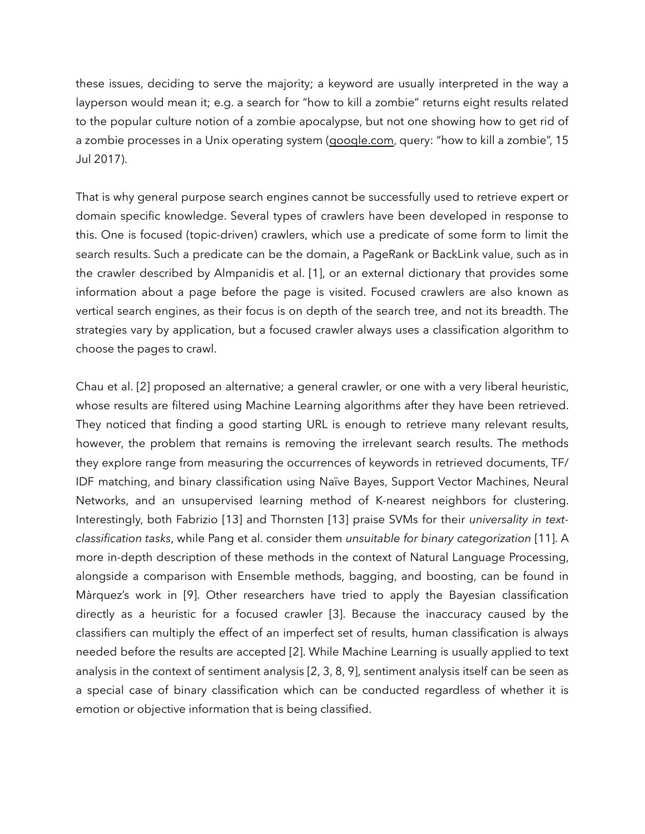these issues, deciding to serve the majority; a keyword are usually interpreted in the way a layperson would mean it; e.g. a search for "how to kill a zombie" returns eight results related to the popular culture notion of a zombie apocalypse, but not one showing how to get rid of a zombie processes in a Unix operating system ([google.com,](http://google.com) query: "how to kill a zombie", 15 Jul 2017).

That is why general purpose search engines cannot be successfully used to retrieve expert or domain specific knowledge. Several types of crawlers have been developed in response to this. One is focused (topic-driven) crawlers, which use a predicate of some form to limit the search results. Such a predicate can be the domain, a PageRank or BackLink value, such as in the crawler described by Almpanidis et al. [1], or an external dictionary that provides some information about a page before the page is visited. Focused crawlers are also known as vertical search engines, as their focus is on depth of the search tree, and not its breadth. The strategies vary by application, but a focused crawler always uses a classification algorithm to choose the pages to crawl.

Chau et al. [2] proposed an alternative; a general crawler, or one with a very liberal heuristic, whose results are filtered using Machine Learning algorithms after they have been retrieved. They noticed that finding a good starting URL is enough to retrieve many relevant results, however, the problem that remains is removing the irrelevant search results. The methods they explore range from measuring the occurrences of keywords in retrieved documents, TF/ IDF matching, and binary classification using Naïve Bayes, Support Vector Machines, Neural Networks, and an unsupervised learning method of K-nearest neighbors for clustering. Interestingly, both Fabrizio [13] and Thornsten [13] praise SVMs for their *universality in textclassification tasks*, while Pang et al. consider them *unsuitable for binary categorization* [11]. A more in-depth description of these methods in the context of Natural Language Processing, alongside a comparison with Ensemble methods, bagging, and boosting, can be found in Màrquez's work in [9]. Other researchers have tried to apply the Bayesian classification directly as a heuristic for a focused crawler [3]. Because the inaccuracy caused by the classifiers can multiply the effect of an imperfect set of results, human classification is always needed before the results are accepted [2]. While Machine Learning is usually applied to text analysis in the context of sentiment analysis [2, 3, 8, 9], sentiment analysis itself can be seen as a special case of binary classification which can be conducted regardless of whether it is emotion or objective information that is being classified.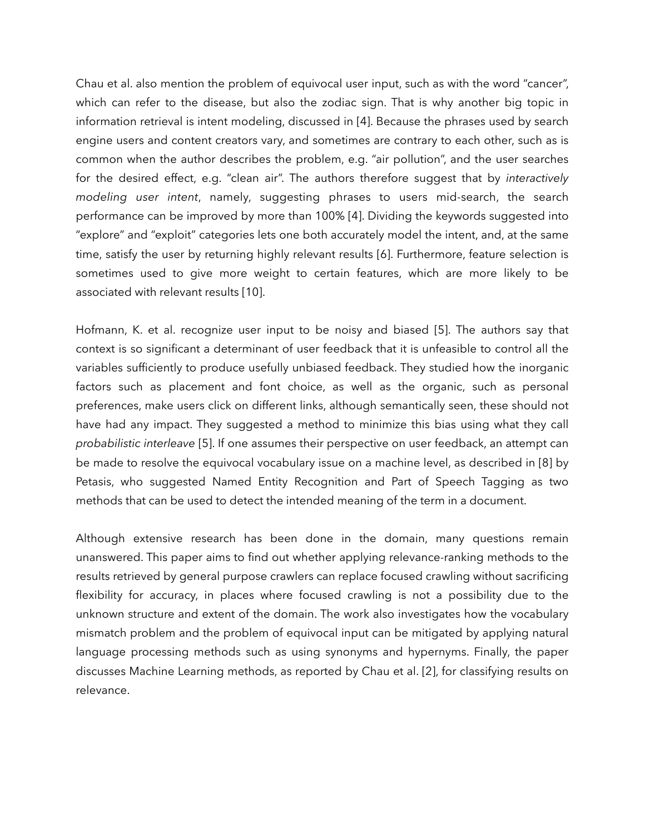Chau et al. also mention the problem of equivocal user input, such as with the word "cancer", which can refer to the disease, but also the zodiac sign. That is why another big topic in information retrieval is intent modeling, discussed in [4]. Because the phrases used by search engine users and content creators vary, and sometimes are contrary to each other, such as is common when the author describes the problem, e.g. "air pollution", and the user searches for the desired effect, e.g. "clean air". The authors therefore suggest that by *interactively modeling user intent*, namely, suggesting phrases to users mid-search, the search performance can be improved by more than 100% [4]. Dividing the keywords suggested into "explore" and "exploit" categories lets one both accurately model the intent, and, at the same time, satisfy the user by returning highly relevant results [6]. Furthermore, feature selection is sometimes used to give more weight to certain features, which are more likely to be associated with relevant results [10].

Hofmann, K. et al. recognize user input to be noisy and biased [5]. The authors say that context is so significant a determinant of user feedback that it is unfeasible to control all the variables sufficiently to produce usefully unbiased feedback. They studied how the inorganic factors such as placement and font choice, as well as the organic, such as personal preferences, make users click on different links, although semantically seen, these should not have had any impact. They suggested a method to minimize this bias using what they call *probabilistic interleave* [5]. If one assumes their perspective on user feedback, an attempt can be made to resolve the equivocal vocabulary issue on a machine level, as described in [8] by Petasis, who suggested Named Entity Recognition and Part of Speech Tagging as two methods that can be used to detect the intended meaning of the term in a document.

Although extensive research has been done in the domain, many questions remain unanswered. This paper aims to find out whether applying relevance-ranking methods to the results retrieved by general purpose crawlers can replace focused crawling without sacrificing flexibility for accuracy, in places where focused crawling is not a possibility due to the unknown structure and extent of the domain. The work also investigates how the vocabulary mismatch problem and the problem of equivocal input can be mitigated by applying natural language processing methods such as using synonyms and hypernyms. Finally, the paper discusses Machine Learning methods, as reported by Chau et al. [2], for classifying results on relevance.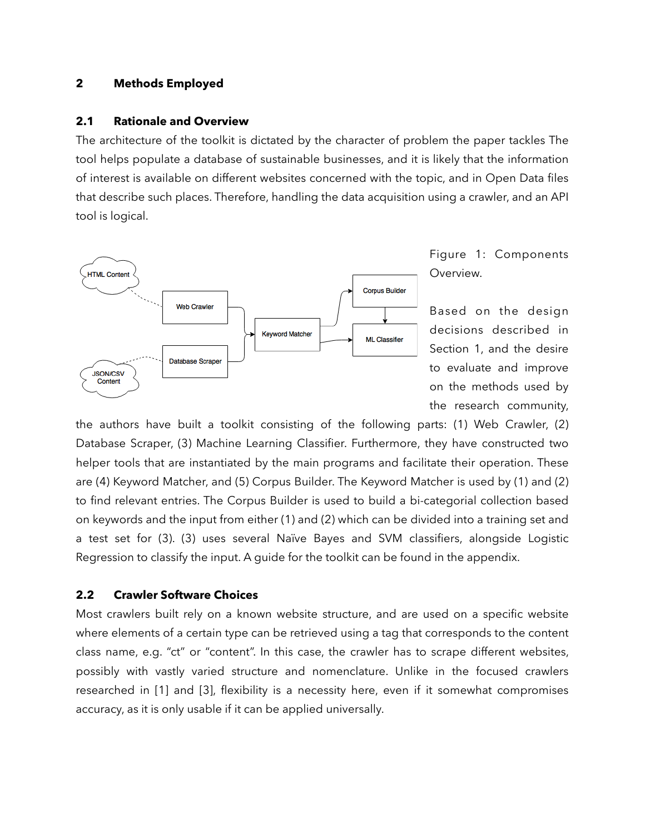### **2 Methods Employed**

#### **2.1 Rationale and Overview**

The architecture of the toolkit is dictated by the character of problem the paper tackles The tool helps populate a database of sustainable businesses, and it is likely that the information of interest is available on different websites concerned with the topic, and in Open Data files that describe such places. Therefore, handling the data acquisition using a crawler, and an API tool is logical.



Figure 1: Components Overview.

Based on the design decisions described in Section 1, and the desire to evaluate and improve on the methods used by the research community,

the authors have built a toolkit consisting of the following parts: (1) Web Crawler, (2) Database Scraper, (3) Machine Learning Classifier. Furthermore, they have constructed two helper tools that are instantiated by the main programs and facilitate their operation. These are (4) Keyword Matcher, and (5) Corpus Builder. The Keyword Matcher is used by (1) and (2) to find relevant entries. The Corpus Builder is used to build a bi-categorial collection based on keywords and the input from either (1) and (2) which can be divided into a training set and a test set for (3). (3) uses several Naïve Bayes and SVM classifiers, alongside Logistic Regression to classify the input. A guide for the toolkit can be found in the appendix.

## **2.2 Crawler Software Choices**

Most crawlers built rely on a known website structure, and are used on a specific website where elements of a certain type can be retrieved using a tag that corresponds to the content class name, e.g. "ct" or "content". In this case, the crawler has to scrape different websites, possibly with vastly varied structure and nomenclature. Unlike in the focused crawlers researched in [1] and [3], flexibility is a necessity here, even if it somewhat compromises accuracy, as it is only usable if it can be applied universally.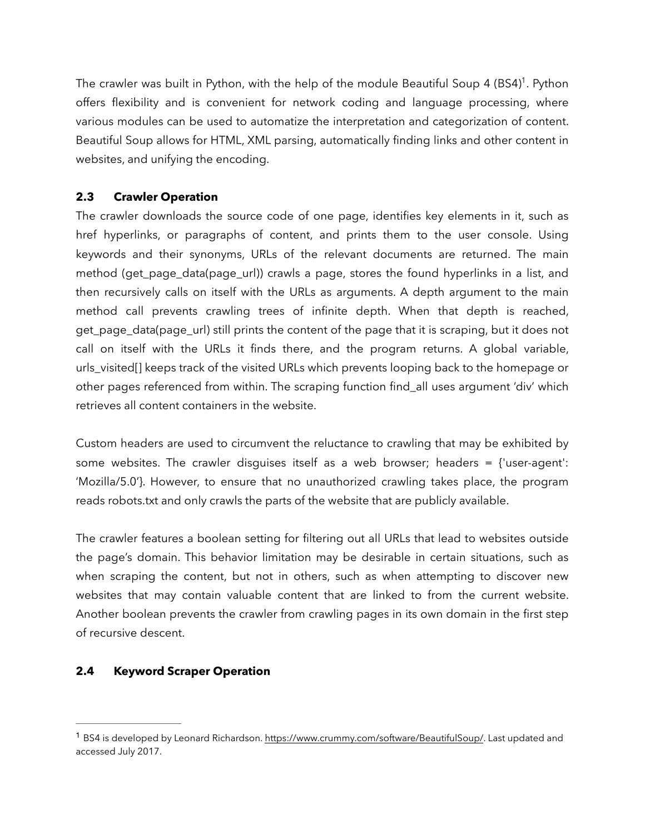<span id="page-5-1"></span>The crawler was built in Python, with the help of the module Beautiful Soup 4 (BS4)<sup>1</sup>[.](#page-5-0) Python offers flexibility and is convenient for network coding and language processing, where various modules can be used to automatize the interpretation and categorization of content. Beautiful Soup allows for HTML, XML parsing, automatically finding links and other content in websites, and unifying the encoding.

# **2.3 Crawler Operation**

The crawler downloads the source code of one page, identifies key elements in it, such as href hyperlinks, or paragraphs of content, and prints them to the user console. Using keywords and their synonyms, URLs of the relevant documents are returned. The main method (get\_page\_data(page\_url)) crawls a page, stores the found hyperlinks in a list, and then recursively calls on itself with the URLs as arguments. A depth argument to the main method call prevents crawling trees of infinite depth. When that depth is reached, get\_page\_data(page\_url) still prints the content of the page that it is scraping, but it does not call on itself with the URLs it finds there, and the program returns. A global variable, urls\_visited[] keeps track of the visited URLs which prevents looping back to the homepage or other pages referenced from within. The scraping function find\_all uses argument 'div' which retrieves all content containers in the website.

Custom headers are used to circumvent the reluctance to crawling that may be exhibited by some websites. The crawler disguises itself as a web browser; headers = {'user-agent': 'Mozilla/5.0'}. However, to ensure that no unauthorized crawling takes place, the program reads robots.txt and only crawls the parts of the website that are publicly available.

The crawler features a boolean setting for filtering out all URLs that lead to websites outside the page's domain. This behavior limitation may be desirable in certain situations, such as when scraping the content, but not in others, such as when attempting to discover new websites that may contain valuable content that are linked to from the current website. Another boolean prevents the crawler from crawling pages in its own domain in the first step of recursive descent.

# **2.4 Keyword Scraper Operation**

<span id="page-5-0"></span><sup>&</sup>lt;sup>1</sup> BS4 is developed by Leonard Richardson. <https://www.crummy.com/software/BeautifulSoup/>. Last updated and accessed July 2017.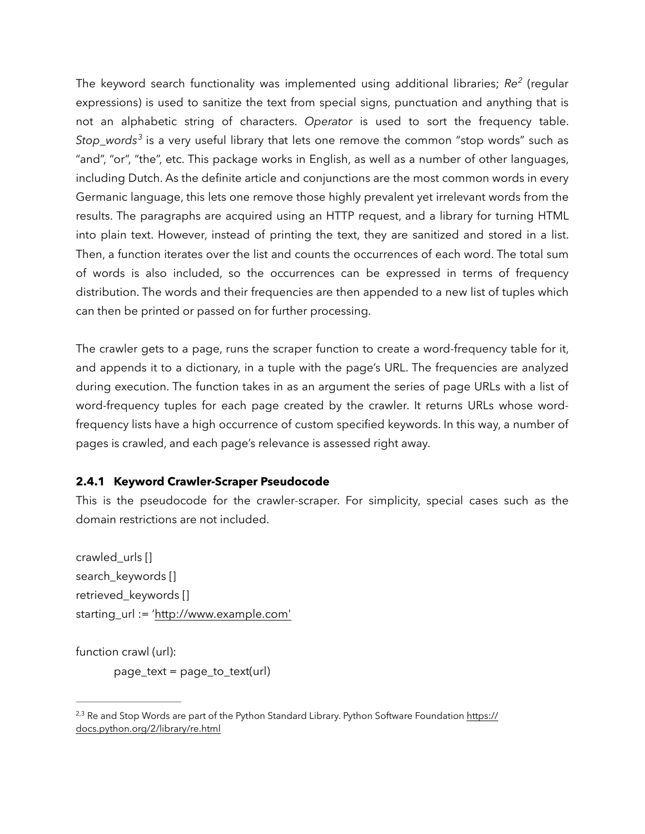The keyword search functionality was implemented using additional libraries; *Re<sup>2</sup>* (regular expressions) is used to sanitize the text from special signs, punctuation and anything that is not an alphabetic string of characters. *Operator* is used to sort the frequency table. *Stop\_words<sup>3</sup>* is a very useful library that lets one remove the common "stop words" such as "and", "or", "the", etc. This package works in English, as well as a number of other languages, including Dutch. As the definite article and conjunctions are the most common words in every Germanic language, this lets one remove those highly prevalent yet irrelevant words from the results. The paragraphs are acquired using an HTTP request, and a library for turning HTML into plain text. However, instead of printing the text, they are sanitized and stored in a list. Then, a function iterates over the list and counts the occurrences of each word. The total sum of words is also included, so the occurrences can be expressed in terms of frequency distribution. The words and their frequencies are then appended to a new list of tuples which can then be printed or passed on for further processing.

The crawler gets to a page, runs the scraper function to create a word-frequency table for it, and appends it to a dictionary, in a tuple with the page's URL. The frequencies are analyzed during execution. The function takes in as an argument the series of page URLs with a list of word-frequency tuples for each page created by the crawler. It returns URLs whose wordfrequency lists have a high occurrence of custom specified keywords. In this way, a number of pages is crawled, and each page's relevance is assessed right away.

# **2.4.1 Keyword Crawler-Scraper Pseudocode**

This is the pseudocode for the crawler-scraper. For simplicity, special cases such as the domain restrictions are not included.

crawled\_urls [] search\_keywords [] retrieved\_keywords [] starting\_url := '[http://www.example.com'](http://www.example.com)

function crawl (url):

page\_text = page\_to\_text(url)

<sup>&</sup>lt;sup>2,3</sup> Re and Stop Words are part of the Python Standard Library. Python Software Foundation [https://](https://docs.python.org/2/library/re.html) [docs.python.org/2/library/re.html](https://docs.python.org/2/library/re.html)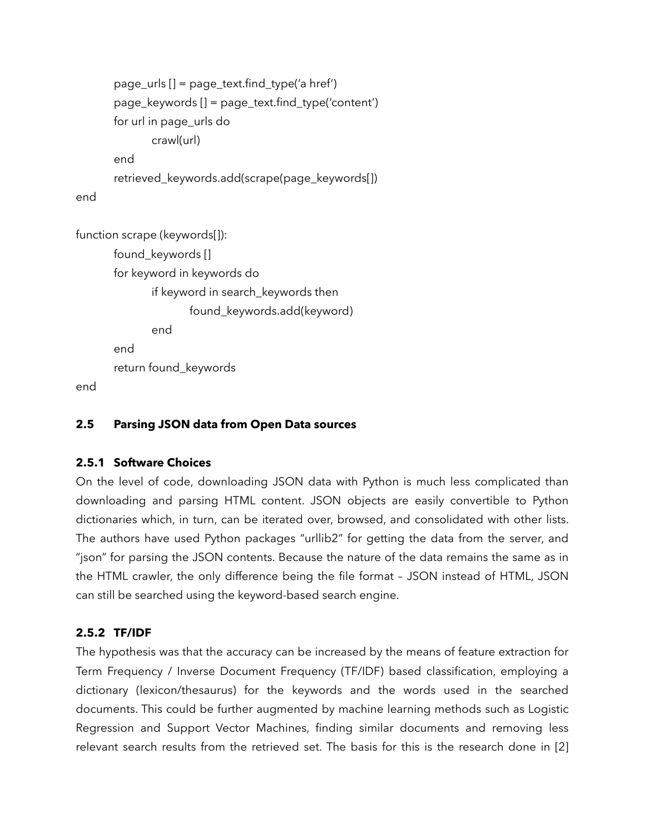```
 page_urls [] = page_text.find_type('a href') 
        page_keywords [] = page_text.find_type('content') 
        for url in page_urls do 
                crawl(url) 
        end 
        retrieved_keywords.add(scrape(page_keywords[]) 
end
```

```
function scrape (keywords[]): 
        found_keywords [] 
        for keyword in keywords do 
               if keyword in search_keywords then 
                       found_keywords.add(keyword) 
               end 
        end 
        return found_keywords
```
end

# **2.5 Parsing JSON data from Open Data sources**

## **2.5.1 Software Choices**

On the level of code, downloading JSON data with Python is much less complicated than downloading and parsing HTML content. JSON objects are easily convertible to Python dictionaries which, in turn, can be iterated over, browsed, and consolidated with other lists. The authors have used Python packages "urllib2" for getting the data from the server, and "json" for parsing the JSON contents. Because the nature of the data remains the same as in the HTML crawler, the only difference being the file format – JSON instead of HTML, JSON can still be searched using the keyword-based search engine.

## **2.5.2 TF/IDF**

The hypothesis was that the accuracy can be increased by the means of feature extraction for Term Frequency / Inverse Document Frequency (TF/IDF) based classification, employing a dictionary (lexicon/thesaurus) for the keywords and the words used in the searched documents. This could be further augmented by machine learning methods such as Logistic Regression and Support Vector Machines, finding similar documents and removing less relevant search results from the retrieved set. The basis for this is the research done in [2]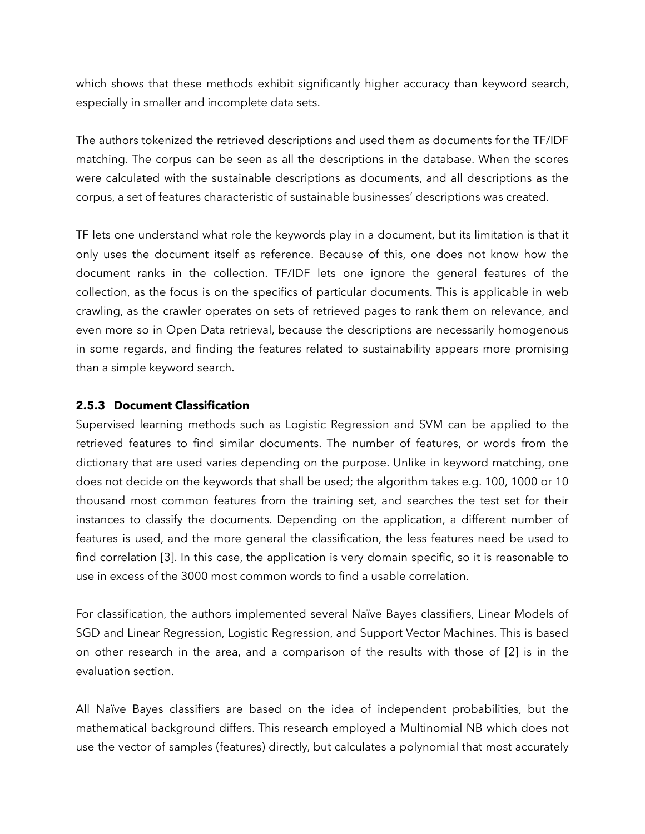which shows that these methods exhibit significantly higher accuracy than keyword search, especially in smaller and incomplete data sets.

The authors tokenized the retrieved descriptions and used them as documents for the TF/IDF matching. The corpus can be seen as all the descriptions in the database. When the scores were calculated with the sustainable descriptions as documents, and all descriptions as the corpus, a set of features characteristic of sustainable businesses' descriptions was created.

TF lets one understand what role the keywords play in a document, but its limitation is that it only uses the document itself as reference. Because of this, one does not know how the document ranks in the collection. TF/IDF lets one ignore the general features of the collection, as the focus is on the specifics of particular documents. This is applicable in web crawling, as the crawler operates on sets of retrieved pages to rank them on relevance, and even more so in Open Data retrieval, because the descriptions are necessarily homogenous in some regards, and finding the features related to sustainability appears more promising than a simple keyword search.

## **2.5.3 Document Classification**

Supervised learning methods such as Logistic Regression and SVM can be applied to the retrieved features to find similar documents. The number of features, or words from the dictionary that are used varies depending on the purpose. Unlike in keyword matching, one does not decide on the keywords that shall be used; the algorithm takes e.g. 100, 1000 or 10 thousand most common features from the training set, and searches the test set for their instances to classify the documents. Depending on the application, a different number of features is used, and the more general the classification, the less features need be used to find correlation [3]. In this case, the application is very domain specific, so it is reasonable to use in excess of the 3000 most common words to find a usable correlation.

For classification, the authors implemented several Naïve Bayes classifiers, Linear Models of SGD and Linear Regression, Logistic Regression, and Support Vector Machines. This is based on other research in the area, and a comparison of the results with those of [2] is in the evaluation section.

All Naïve Bayes classifiers are based on the idea of independent probabilities, but the mathematical background differs. This research employed a Multinomial NB which does not use the vector of samples (features) directly, but calculates a polynomial that most accurately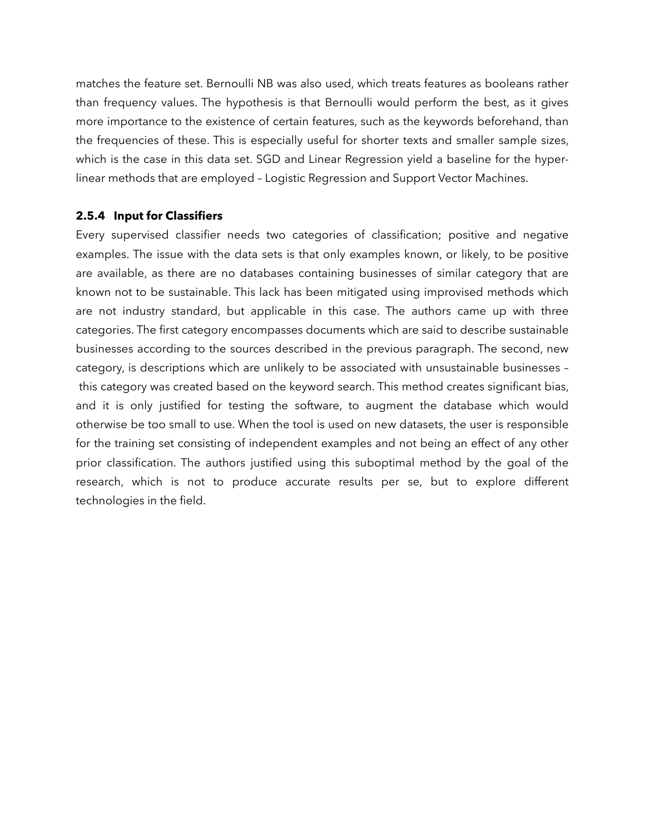matches the feature set. Bernoulli NB was also used, which treats features as booleans rather than frequency values. The hypothesis is that Bernoulli would perform the best, as it gives more importance to the existence of certain features, such as the keywords beforehand, than the frequencies of these. This is especially useful for shorter texts and smaller sample sizes, which is the case in this data set. SGD and Linear Regression yield a baseline for the hyperlinear methods that are employed – Logistic Regression and Support Vector Machines.

## **2.5.4 Input for Classifiers**

Every supervised classifier needs two categories of classification; positive and negative examples. The issue with the data sets is that only examples known, or likely, to be positive are available, as there are no databases containing businesses of similar category that are known not to be sustainable. This lack has been mitigated using improvised methods which are not industry standard, but applicable in this case. The authors came up with three categories. The first category encompasses documents which are said to describe sustainable businesses according to the sources described in the previous paragraph. The second, new category, is descriptions which are unlikely to be associated with unsustainable businesses – this category was created based on the keyword search. This method creates significant bias, and it is only justified for testing the software, to augment the database which would otherwise be too small to use. When the tool is used on new datasets, the user is responsible for the training set consisting of independent examples and not being an effect of any other prior classification. The authors justified using this suboptimal method by the goal of the research, which is not to produce accurate results per se, but to explore different technologies in the field.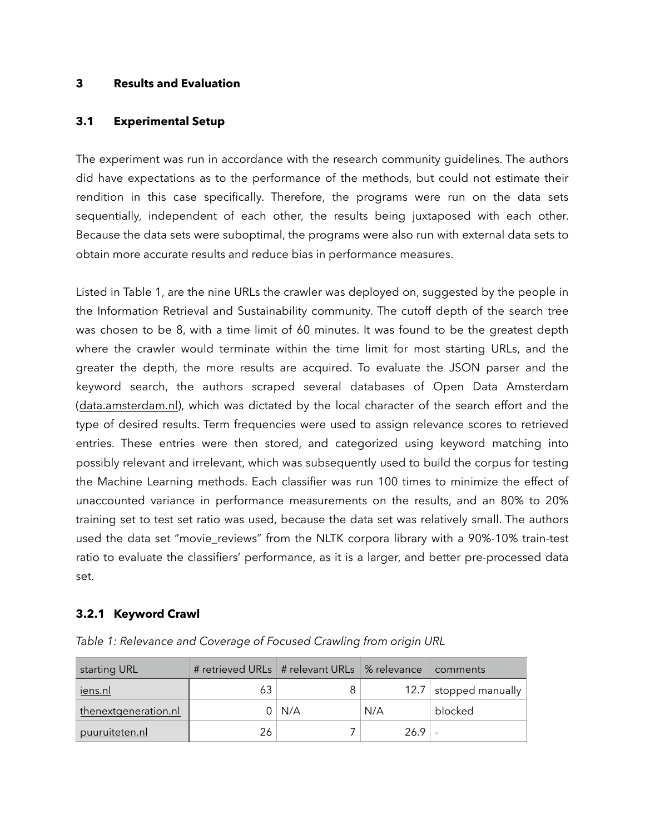## **3 Results and Evaluation**

## **3.1 Experimental Setup**

The experiment was run in accordance with the research community guidelines. The authors did have expectations as to the performance of the methods, but could not estimate their rendition in this case specifically. Therefore, the programs were run on the data sets sequentially, independent of each other, the results being juxtaposed with each other. Because the data sets were suboptimal, the programs were also run with external data sets to obtain more accurate results and reduce bias in performance measures.

Listed in Table 1, are the nine URLs the crawler was deployed on, suggested by the people in the Information Retrieval and Sustainability community. The cutoff depth of the search tree was chosen to be 8, with a time limit of 60 minutes. It was found to be the greatest depth where the crawler would terminate within the time limit for most starting URLs, and the greater the depth, the more results are acquired. To evaluate the JSON parser and the keyword search, the authors scraped several databases of Open Data Amsterdam [\(data.amsterdam.nl\)](http://data.amsterdam.nl), which was dictated by the local character of the search effort and the type of desired results. Term frequencies were used to assign relevance scores to retrieved entries. These entries were then stored, and categorized using keyword matching into possibly relevant and irrelevant, which was subsequently used to build the corpus for testing the Machine Learning methods. Each classifier was run 100 times to minimize the effect of unaccounted variance in performance measurements on the results, and an 80% to 20% training set to test set ratio was used, because the data set was relatively small. The authors used the data set "movie\_reviews" from the NLTK corpora library with a 90%-10% train-test ratio to evaluate the classifiers' performance, as it is a larger, and better pre-processed data set.

# **3.2.1 Keyword Crawl**

| starting URL         | # retrieved URLs   # relevant URLs   % relevance |     |      | $\perp$ comments      |
|----------------------|--------------------------------------------------|-----|------|-----------------------|
| <u>iens.nl</u>       | 63                                               |     |      | 12.7 stopped manually |
| thenextgeneration.nl |                                                  | N/A | N/A  | blocked               |
| puuruiteten.nl       | 26                                               |     | 26.9 |                       |

*Table 1: Relevance and Coverage of Focused Crawling from origin URL*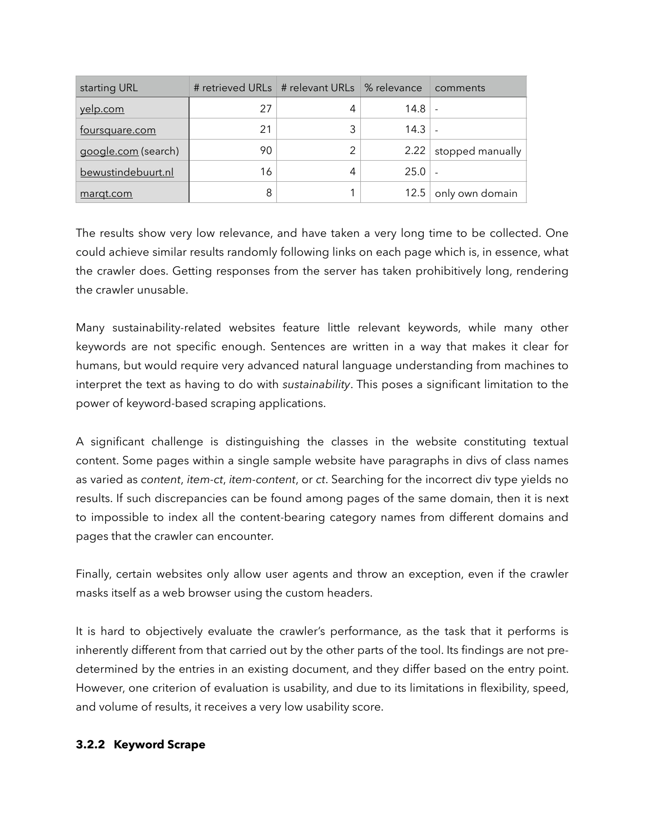| starting URL          | # retrieved URLs   # relevant URLs   % relevance |   |      | comments         |
|-----------------------|--------------------------------------------------|---|------|------------------|
| yelp.com              | 27                                               | 4 | 14.8 |                  |
| <u>foursquare.com</u> | 21                                               | 3 | 14.3 |                  |
| google.com (search)   | 90                                               | 2 | 2.22 | stopped manually |
| bewustindebuurt.nl    | 16                                               | 4 | 25.0 |                  |
| margt.com             | 8                                                |   | 12.5 | only own domain  |

The results show very low relevance, and have taken a very long time to be collected. One could achieve similar results randomly following links on each page which is, in essence, what the crawler does. Getting responses from the server has taken prohibitively long, rendering the crawler unusable.

Many sustainability-related websites feature little relevant keywords, while many other keywords are not specific enough. Sentences are written in a way that makes it clear for humans, but would require very advanced natural language understanding from machines to interpret the text as having to do with *sustainability*. This poses a significant limitation to the power of keyword-based scraping applications.

A significant challenge is distinguishing the classes in the website constituting textual content. Some pages within a single sample website have paragraphs in divs of class names as varied as *content*, *item-ct*, *item-content*, or *ct*. Searching for the incorrect div type yields no results. If such discrepancies can be found among pages of the same domain, then it is next to impossible to index all the content-bearing category names from different domains and pages that the crawler can encounter.

Finally, certain websites only allow user agents and throw an exception, even if the crawler masks itself as a web browser using the custom headers.

It is hard to objectively evaluate the crawler's performance, as the task that it performs is inherently different from that carried out by the other parts of the tool. Its findings are not predetermined by the entries in an existing document, and they differ based on the entry point. However, one criterion of evaluation is usability, and due to its limitations in flexibility, speed, and volume of results, it receives a very low usability score.

# **3.2.2 Keyword Scrape**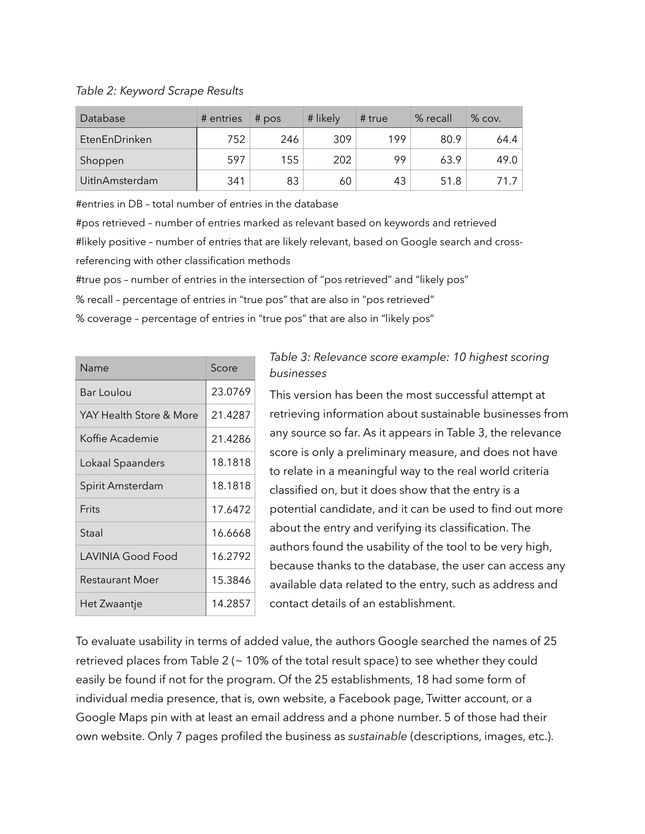*Table 2: Keyword Scrape Results*

| Database              | # entries | $#$ pos | # likely | # true | % recall | $%$ cov. |
|-----------------------|-----------|---------|----------|--------|----------|----------|
| EtenEnDrinken         | 752       | 246     | 309      | 199    | 80.9     | 64.4     |
| Shoppen               | 597       | 155     | 202      | 99     | 63.9     | 49.0     |
| <b>UitlnAmsterdam</b> | 341       | 83      | 60       | 43     | 51.8     | 71 7 1   |

#entries in DB – total number of entries in the database

#pos retrieved – number of entries marked as relevant based on keywords and retrieved #likely positive – number of entries that are likely relevant, based on Google search and crossreferencing with other classification methods

#true pos – number of entries in the intersection of "pos retrieved" and "likely pos"

% recall – percentage of entries in "true pos" that are also in "pos retrieved"

% coverage – percentage of entries in "true pos" that are also in "likely pos"

| Name                    | Score   |  |
|-------------------------|---------|--|
| Bar Loulou              | 23.0769 |  |
| YAY Health Store & More | 21.4287 |  |
| Koffie Academie         | 21.4286 |  |
| Lokaal Spaanders        | 18.1818 |  |
| Spirit Amsterdam        | 18.1818 |  |
| Frits                   | 17.6472 |  |
| Staal                   | 16.6668 |  |
| LAVINIA Good Food       | 16.2792 |  |
| Restaurant Moer         | 15.3846 |  |
| Het Zwaantje            | 14.2857 |  |

# *Table 3: Relevance score example: 10 highest scoring businesses*

This version has been the most successful attempt at retrieving information about sustainable businesses from any source so far. As it appears in Table 3, the relevance score is only a preliminary measure, and does not have to relate in a meaningful way to the real world criteria classified on, but it does show that the entry is a potential candidate, and it can be used to find out more about the entry and verifying its classification. The authors found the usability of the tool to be very high, because thanks to the database, the user can access any available data related to the entry, such as address and contact details of an establishment.

To evaluate usability in terms of added value, the authors Google searched the names of 25 retrieved places from Table 2 (~ 10% of the total result space) to see whether they could easily be found if not for the program. Of the 25 establishments, 18 had some form of individual media presence, that is, own website, a Facebook page, Twitter account, or a Google Maps pin with at least an email address and a phone number. 5 of those had their own website. Only 7 pages profiled the business as *sustainable* (descriptions, images, etc.).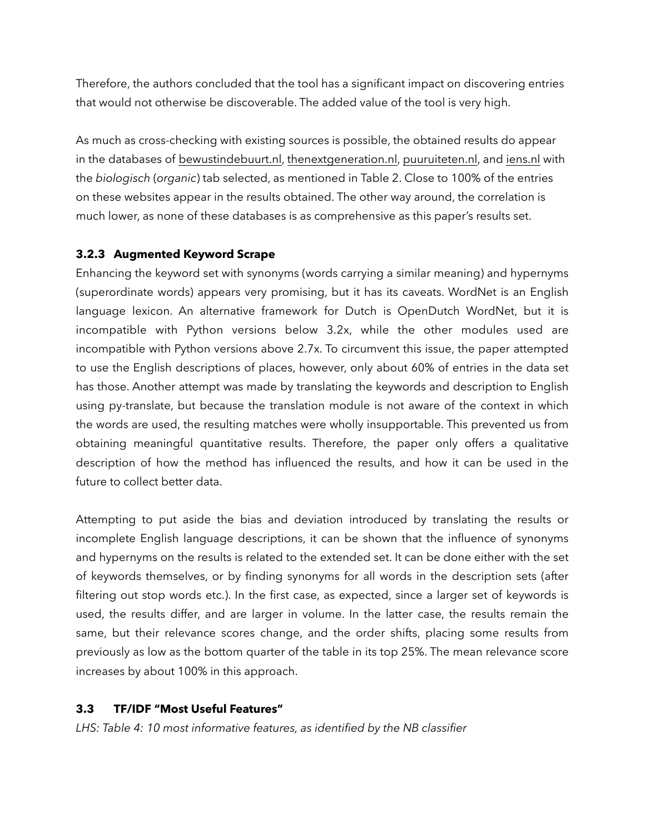Therefore, the authors concluded that the tool has a significant impact on discovering entries that would not otherwise be discoverable. The added value of the tool is very high.

As much as cross-checking with existing sources is possible, the obtained results do appear in the databases of [bewustindebuurt.nl](http://bewustindebuurt.nl), [thenextgeneration.nl](http://thenextgeneration.nl), [puuruiteten.nl](http://puuruiteten.nl), and [iens.nl](http://iens.nl) with the *biologisch* (*organic*) tab selected, as mentioned in Table 2. Close to 100% of the entries on these websites appear in the results obtained. The other way around, the correlation is much lower, as none of these databases is as comprehensive as this paper's results set.

# **3.2.3 Augmented Keyword Scrape**

Enhancing the keyword set with synonyms (words carrying a similar meaning) and hypernyms (superordinate words) appears very promising, but it has its caveats. WordNet is an English language lexicon. An alternative framework for Dutch is OpenDutch WordNet, but it is incompatible with Python versions below 3.2x, while the other modules used are incompatible with Python versions above 2.7x. To circumvent this issue, the paper attempted to use the English descriptions of places, however, only about 60% of entries in the data set has those. Another attempt was made by translating the keywords and description to English using py-translate, but because the translation module is not aware of the context in which the words are used, the resulting matches were wholly insupportable. This prevented us from obtaining meaningful quantitative results. Therefore, the paper only offers a qualitative description of how the method has influenced the results, and how it can be used in the future to collect better data.

Attempting to put aside the bias and deviation introduced by translating the results or incomplete English language descriptions, it can be shown that the influence of synonyms and hypernyms on the results is related to the extended set. It can be done either with the set of keywords themselves, or by finding synonyms for all words in the description sets (after filtering out stop words etc.). In the first case, as expected, since a larger set of keywords is used, the results differ, and are larger in volume. In the latter case, the results remain the same, but their relevance scores change, and the order shifts, placing some results from previously as low as the bottom quarter of the table in its top 25%. The mean relevance score increases by about 100% in this approach.

# **3.3 TF/IDF "Most Useful Features"**

*LHS: Table 4: 10 most informative features, as identified by the NB classifier*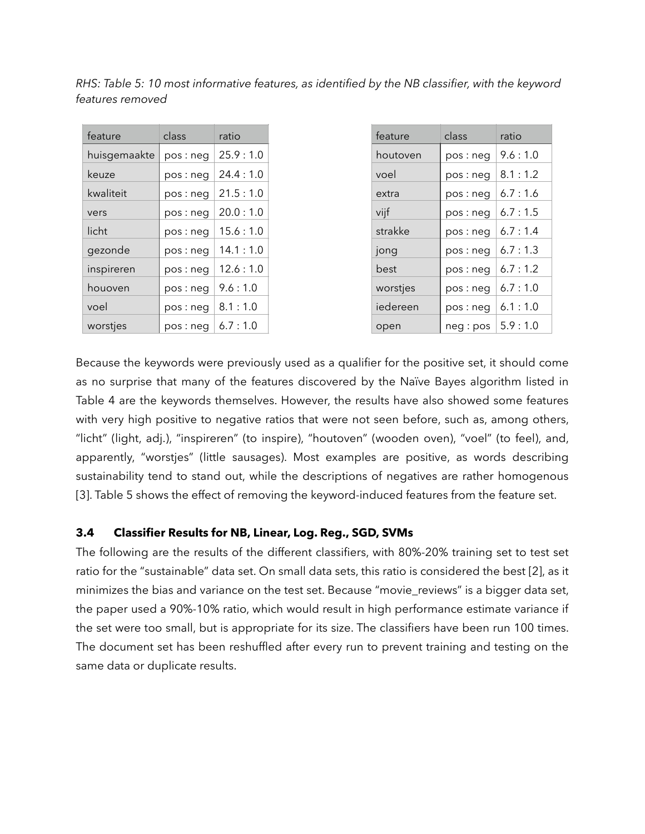| feature      | class     | ratio    |
|--------------|-----------|----------|
| huisgemaakte | pos: neg  | 25.9:1.0 |
| keuze        | pos:neg   | 24.4:1.0 |
| kwaliteit    | pos:neg   | 21.5:1.0 |
| vers         | pos: neg  | 20.0:1.0 |
| licht        | pos: neg  | 15.6:1.0 |
| gezonde      | pos : neg | 14.1:1.0 |
| inspireren   | pos : neg | 12.6:1.0 |
| houoven      | pos : neg | 9.6:1.0  |
| voel         | pos: neg  | 8.1:1.0  |
| worstjes     | pos : neg | 6.7:1.0  |

*RHS: Table 5: 10 most informative features, as identified by the NB classifier, with the keyword features removed* 

| feature  | class     | ratio   |
|----------|-----------|---------|
| houtoven | pos: neg  | 9.6:1.0 |
| voel     | pos : neg | 8.1:1.2 |
| extra    | pos : neg | 6.7:1.6 |
| vijf     | pos: neg  | 6.7:1.5 |
| strakke  | pos: neg  | 6.7:1.4 |
| jong     | pos: neg  | 6.7:1.3 |
| best     | pos : neg | 6.7:1.2 |
| worstjes | pos: neg  | 6.7:1.0 |
| iedereen | pos: neg  | 6.1:1.0 |
| open     | neg:pos   | 5.9:1.0 |

Because the keywords were previously used as a qualifier for the positive set, it should come as no surprise that many of the features discovered by the Naïve Bayes algorithm listed in Table 4 are the keywords themselves. However, the results have also showed some features with very high positive to negative ratios that were not seen before, such as, among others, "licht" (light, adj.), "inspireren" (to inspire), "houtoven" (wooden oven), "voel" (to feel), and, apparently, "worstjes" (little sausages). Most examples are positive, as words describing sustainability tend to stand out, while the descriptions of negatives are rather homogenous [3]. Table 5 shows the effect of removing the keyword-induced features from the feature set.

## **3.4 Classifier Results for NB, Linear, Log. Reg., SGD, SVMs**

The following are the results of the different classifiers, with 80%-20% training set to test set ratio for the "sustainable" data set. On small data sets, this ratio is considered the best [2], as it minimizes the bias and variance on the test set. Because "movie\_reviews" is a bigger data set, the paper used a 90%-10% ratio, which would result in high performance estimate variance if the set were too small, but is appropriate for its size. The classifiers have been run 100 times. The document set has been reshuffled after every run to prevent training and testing on the same data or duplicate results.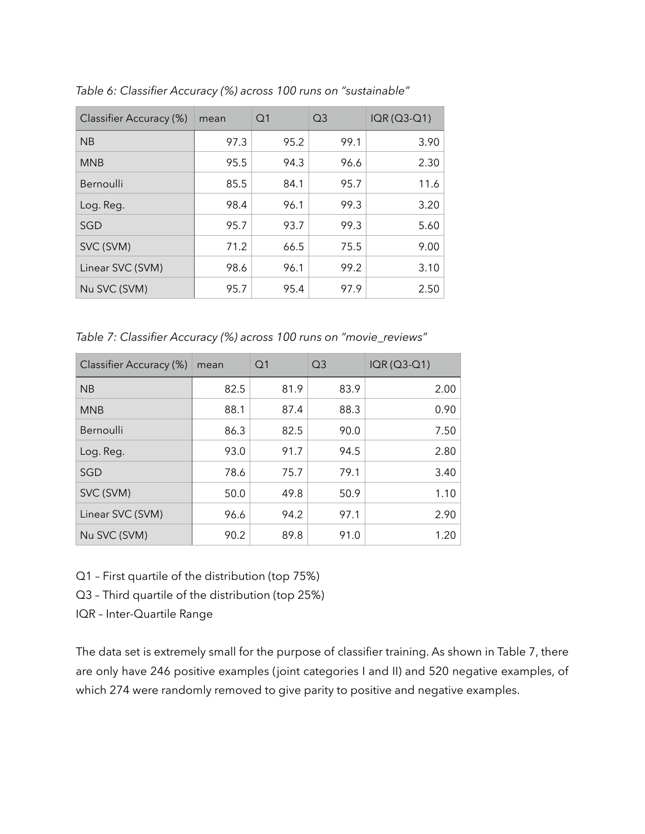| Classifier Accuracy (%) | mean | Q <sub>1</sub> | Q <sub>3</sub> | $IQR (Q3-Q1)$ |
|-------------------------|------|----------------|----------------|---------------|
| <b>NB</b>               | 97.3 | 95.2           | 99.1           | 3.90          |
| <b>MNB</b>              | 95.5 | 94.3           | 96.6           | 2.30          |
| Bernoulli               | 85.5 | 84.1           | 95.7           | 11.6          |
| Log. Reg.               | 98.4 | 96.1           | 99.3           | 3.20          |
| SGD                     | 95.7 | 93.7           | 99.3           | 5.60          |
| SVC (SVM)               | 71.2 | 66.5           | 75.5           | 9.00          |
| Linear SVC (SVM)        | 98.6 | 96.1           | 99.2           | 3.10          |
| Nu SVC (SVM)            | 95.7 | 95.4           | 97.9           | 2.50          |

*Table 6: Classifier Accuracy (%) across 100 runs on "sustainable"*

*Table 7: Classifier Accuracy (%) across 100 runs on "movie\_reviews"*

| Classifier Accuracy (%) | mean | Q <sub>1</sub> | Q <sub>3</sub> | IQR (Q3-Q1) |
|-------------------------|------|----------------|----------------|-------------|
| <b>NB</b>               | 82.5 | 81.9           | 83.9           | 2.00        |
| <b>MNB</b>              | 88.1 | 87.4           | 88.3           | 0.90        |
| Bernoulli               | 86.3 | 82.5           | 90.0           | 7.50        |
| Log. Reg.               | 93.0 | 91.7           | 94.5           | 2.80        |
| SGD                     | 78.6 | 75.7           | 79.1           | 3.40        |
| SVC (SVM)               | 50.0 | 49.8           | 50.9           | 1.10        |
| Linear SVC (SVM)        | 96.6 | 94.2           | 97.1           | 2.90        |
| Nu SVC (SVM)            | 90.2 | 89.8           | 91.0           | 1.20        |

- Q1 First quartile of the distribution (top 75%)
- Q3 Third quartile of the distribution (top 25%)
- IQR Inter-Quartile Range

The data set is extremely small for the purpose of classifier training. As shown in Table 7, there are only have 246 positive examples (joint categories I and II) and 520 negative examples, of which 274 were randomly removed to give parity to positive and negative examples.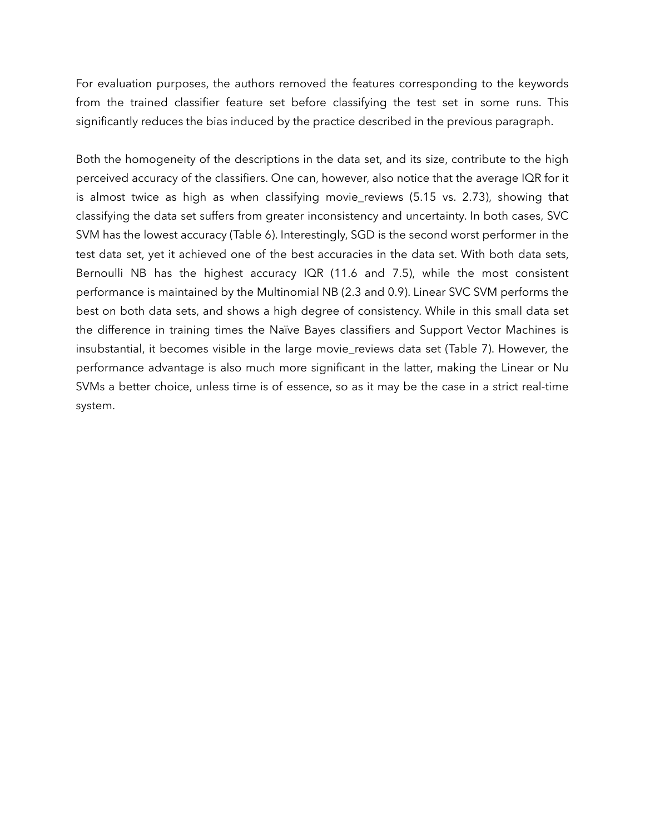For evaluation purposes, the authors removed the features corresponding to the keywords from the trained classifier feature set before classifying the test set in some runs. This significantly reduces the bias induced by the practice described in the previous paragraph.

Both the homogeneity of the descriptions in the data set, and its size, contribute to the high perceived accuracy of the classifiers. One can, however, also notice that the average IQR for it is almost twice as high as when classifying movie\_reviews (5.15 vs. 2.73), showing that classifying the data set suffers from greater inconsistency and uncertainty. In both cases, SVC SVM has the lowest accuracy (Table 6). Interestingly, SGD is the second worst performer in the test data set, yet it achieved one of the best accuracies in the data set. With both data sets, Bernoulli NB has the highest accuracy IQR (11.6 and 7.5), while the most consistent performance is maintained by the Multinomial NB (2.3 and 0.9). Linear SVC SVM performs the best on both data sets, and shows a high degree of consistency. While in this small data set the difference in training times the Naïve Bayes classifiers and Support Vector Machines is insubstantial, it becomes visible in the large movie\_reviews data set (Table 7). However, the performance advantage is also much more significant in the latter, making the Linear or Nu SVMs a better choice, unless time is of essence, so as it may be the case in a strict real-time system.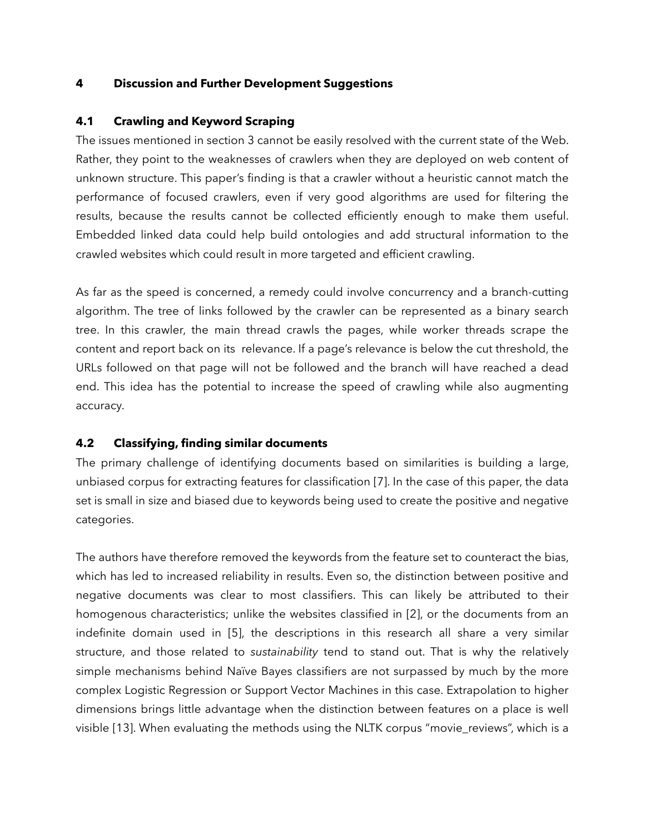## **4 Discussion and Further Development Suggestions**

## **4.1 Crawling and Keyword Scraping**

The issues mentioned in section 3 cannot be easily resolved with the current state of the Web. Rather, they point to the weaknesses of crawlers when they are deployed on web content of unknown structure. This paper's finding is that a crawler without a heuristic cannot match the performance of focused crawlers, even if very good algorithms are used for filtering the results, because the results cannot be collected efficiently enough to make them useful. Embedded linked data could help build ontologies and add structural information to the crawled websites which could result in more targeted and efficient crawling.

As far as the speed is concerned, a remedy could involve concurrency and a branch-cutting algorithm. The tree of links followed by the crawler can be represented as a binary search tree. In this crawler, the main thread crawls the pages, while worker threads scrape the content and report back on its relevance. If a page's relevance is below the cut threshold, the URLs followed on that page will not be followed and the branch will have reached a dead end. This idea has the potential to increase the speed of crawling while also augmenting accuracy.

# **4.2 Classifying, finding similar documents**

The primary challenge of identifying documents based on similarities is building a large, unbiased corpus for extracting features for classification [7]. In the case of this paper, the data set is small in size and biased due to keywords being used to create the positive and negative categories.

The authors have therefore removed the keywords from the feature set to counteract the bias, which has led to increased reliability in results. Even so, the distinction between positive and negative documents was clear to most classifiers. This can likely be attributed to their homogenous characteristics; unlike the websites classified in [2], or the documents from an indefinite domain used in [5], the descriptions in this research all share a very similar structure, and those related to *sustainability* tend to stand out. That is why the relatively simple mechanisms behind Naïve Bayes classifiers are not surpassed by much by the more complex Logistic Regression or Support Vector Machines in this case. Extrapolation to higher dimensions brings little advantage when the distinction between features on a place is well visible [13]. When evaluating the methods using the NLTK corpus "movie\_reviews", which is a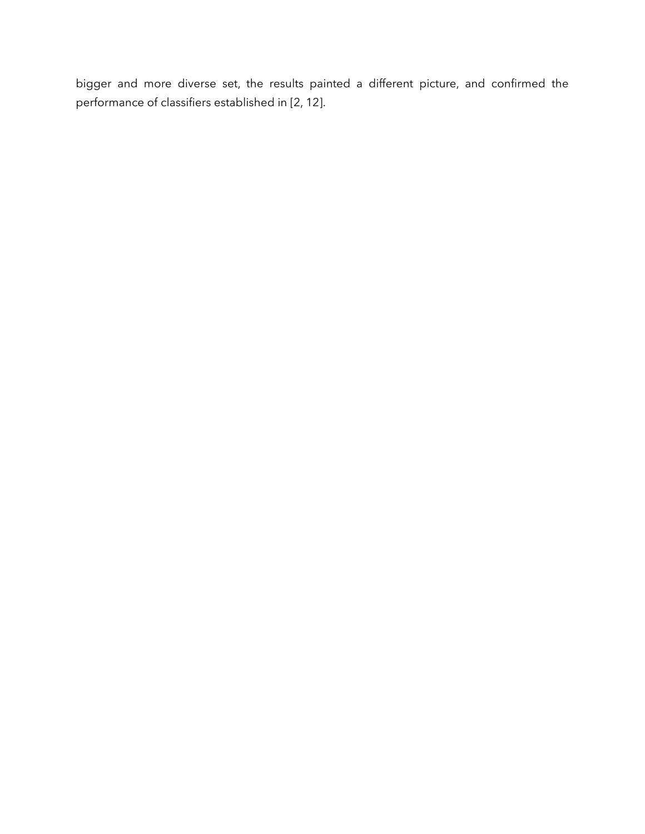bigger and more diverse set, the results painted a different picture, and confirmed the performance of classifiers established in [2, 12].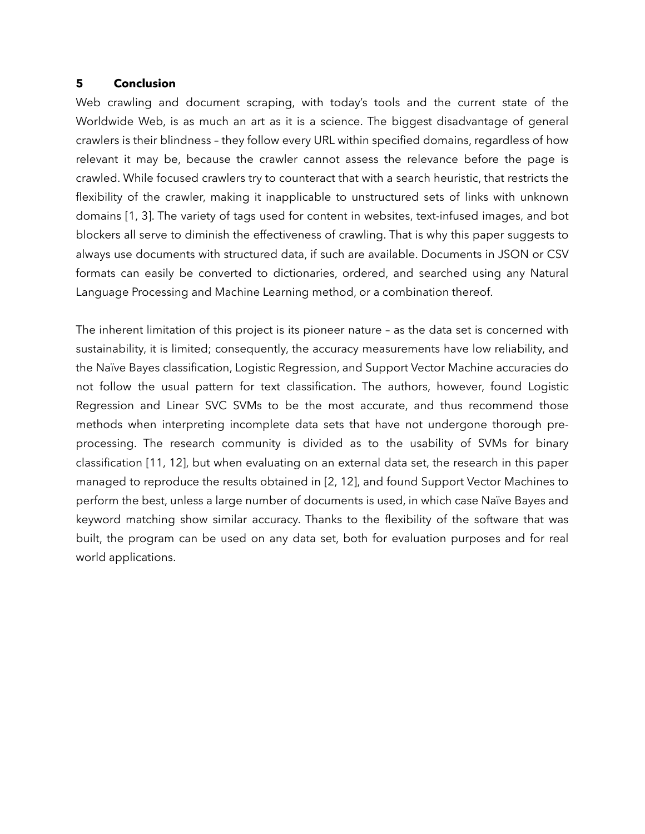### **5 Conclusion**

Web crawling and document scraping, with today's tools and the current state of the Worldwide Web, is as much an art as it is a science. The biggest disadvantage of general crawlers is their blindness – they follow every URL within specified domains, regardless of how relevant it may be, because the crawler cannot assess the relevance before the page is crawled. While focused crawlers try to counteract that with a search heuristic, that restricts the flexibility of the crawler, making it inapplicable to unstructured sets of links with unknown domains [1, 3]. The variety of tags used for content in websites, text-infused images, and bot blockers all serve to diminish the effectiveness of crawling. That is why this paper suggests to always use documents with structured data, if such are available. Documents in JSON or CSV formats can easily be converted to dictionaries, ordered, and searched using any Natural Language Processing and Machine Learning method, or a combination thereof.

The inherent limitation of this project is its pioneer nature – as the data set is concerned with sustainability, it is limited; consequently, the accuracy measurements have low reliability, and the Naïve Bayes classification, Logistic Regression, and Support Vector Machine accuracies do not follow the usual pattern for text classification. The authors, however, found Logistic Regression and Linear SVC SVMs to be the most accurate, and thus recommend those methods when interpreting incomplete data sets that have not undergone thorough preprocessing. The research community is divided as to the usability of SVMs for binary classification [11, 12], but when evaluating on an external data set, the research in this paper managed to reproduce the results obtained in [2, 12], and found Support Vector Machines to perform the best, unless a large number of documents is used, in which case Naïve Bayes and keyword matching show similar accuracy. Thanks to the flexibility of the software that was built, the program can be used on any data set, both for evaluation purposes and for real world applications.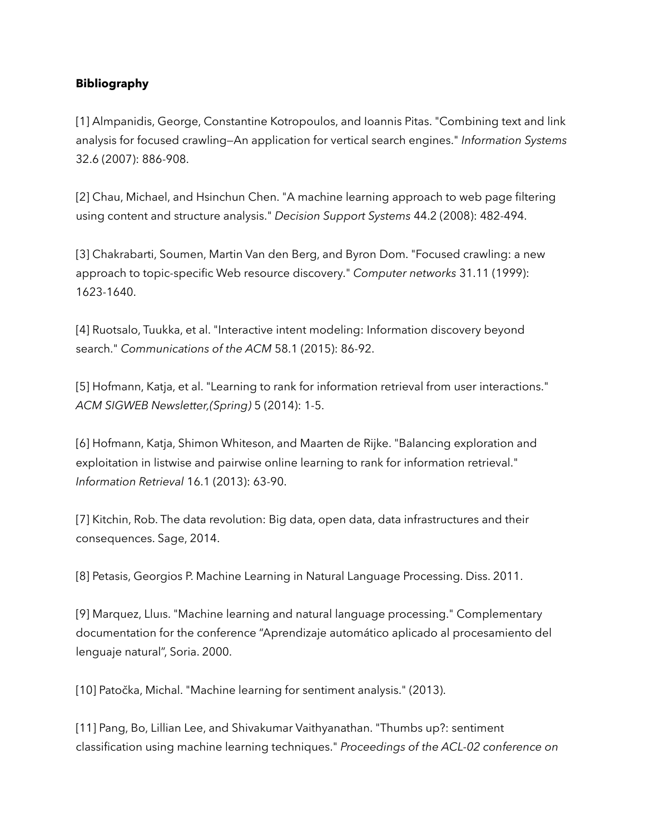# **Bibliography**

[1] Almpanidis, George, Constantine Kotropoulos, and Ioannis Pitas. "Combining text and link analysis for focused crawling—An application for vertical search engines." *Information Systems* 32.6 (2007): 886-908.

[2] Chau, Michael, and Hsinchun Chen. "A machine learning approach to web page filtering using content and structure analysis." *Decision Support Systems* 44.2 (2008): 482-494.

[3] Chakrabarti, Soumen, Martin Van den Berg, and Byron Dom. "Focused crawling: a new approach to topic-specific Web resource discovery." *Computer networks* 31.11 (1999): 1623-1640.

[4] Ruotsalo, Tuukka, et al. "Interactive intent modeling: Information discovery beyond search." *Communications of the ACM* 58.1 (2015): 86-92.

[5] Hofmann, Katja, et al. "Learning to rank for information retrieval from user interactions." *ACM SIGWEB Newsletter,(Spring)* 5 (2014): 1-5.

[6] Hofmann, Katja, Shimon Whiteson, and Maarten de Rijke. "Balancing exploration and exploitation in listwise and pairwise online learning to rank for information retrieval." *Information Retrieval* 16.1 (2013): 63-90.

[7] Kitchin, Rob. The data revolution: Big data, open data, data infrastructures and their consequences. Sage, 2014.

[8] Petasis, Georgios P. Machine Learning in Natural Language Processing. Diss. 2011.

[9] Marquez, Lluıs. "Machine learning and natural language processing." Complementary documentation for the conference "Aprendizaje automático aplicado al procesamiento del lenguaje natural", Soria. 2000.

[10] Patočka, Michal. "Machine learning for sentiment analysis." (2013).

[11] Pang, Bo, Lillian Lee, and Shivakumar Vaithyanathan. "Thumbs up?: sentiment classification using machine learning techniques." *Proceedings of the ACL-02 conference on*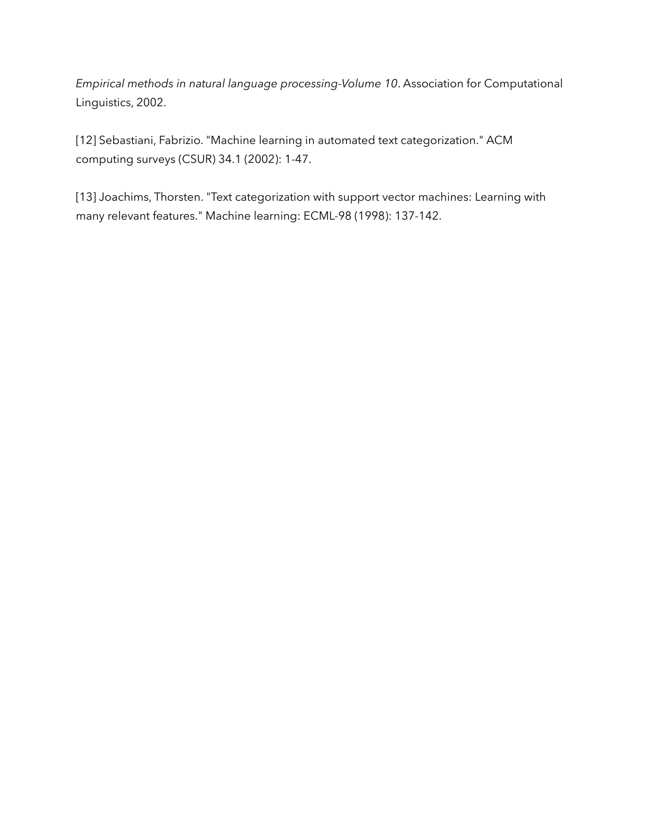*Empirical methods in natural language processing-Volume 10*. Association for Computational Linguistics, 2002.

[12] Sebastiani, Fabrizio. "Machine learning in automated text categorization." ACM computing surveys (CSUR) 34.1 (2002): 1-47.

[13] Joachims, Thorsten. "Text categorization with support vector machines: Learning with many relevant features." Machine learning: ECML-98 (1998): 137-142.